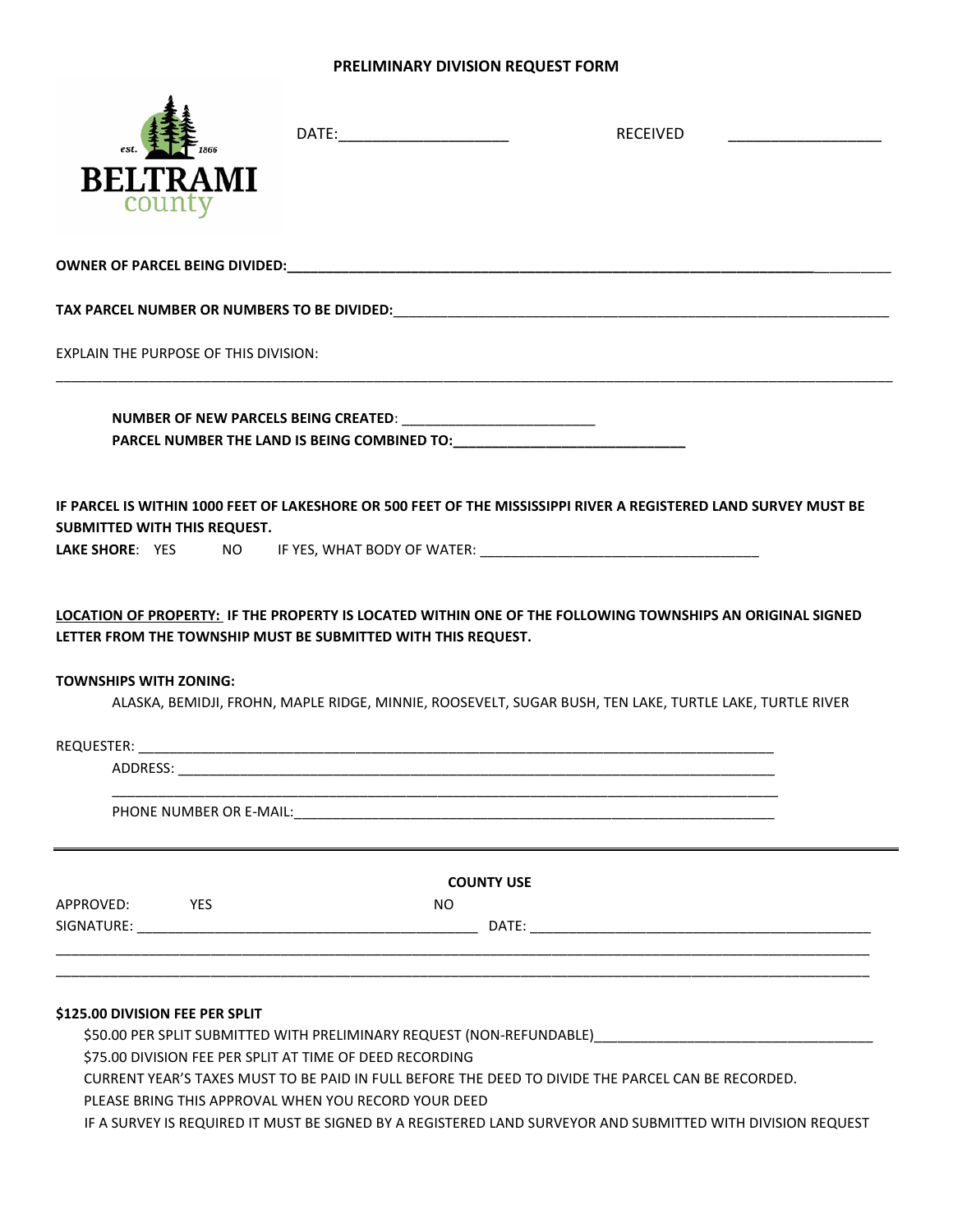## **PRELIMINARY DIVISION REQUEST FORM**

|                                                                                                                                                                                                         |                                                                                                                | DATE:_________________________ | <b>RECEIVED</b>                                                                                         |  |
|---------------------------------------------------------------------------------------------------------------------------------------------------------------------------------------------------------|----------------------------------------------------------------------------------------------------------------|--------------------------------|---------------------------------------------------------------------------------------------------------|--|
| <b>BELTRAMI</b><br>county                                                                                                                                                                               |                                                                                                                |                                |                                                                                                         |  |
|                                                                                                                                                                                                         |                                                                                                                |                                |                                                                                                         |  |
|                                                                                                                                                                                                         |                                                                                                                |                                |                                                                                                         |  |
| EXPLAIN THE PURPOSE OF THIS DIVISION:                                                                                                                                                                   |                                                                                                                |                                |                                                                                                         |  |
|                                                                                                                                                                                                         |                                                                                                                |                                |                                                                                                         |  |
| IF PARCEL IS WITHIN 1000 FEET OF LAKESHORE OR 500 FEET OF THE MISSISSIPPI RIVER A REGISTERED LAND SURVEY MUST BE<br>SUBMITTED WITH THIS REQUEST.<br>LAKE SHORE: YES NO IF YES, WHAT BODY OF WATER: \[\] |                                                                                                                |                                |                                                                                                         |  |
| LOCATION OF PROPERTY: IF THE PROPERTY IS LOCATED WITHIN ONE OF THE FOLLOWING TOWNSHIPS AN ORIGINAL SIGNED<br>LETTER FROM THE TOWNSHIP MUST BE SUBMITTED WITH THIS REQUEST.                              |                                                                                                                |                                |                                                                                                         |  |
| <b>TOWNSHIPS WITH ZONING:</b>                                                                                                                                                                           |                                                                                                                |                                |                                                                                                         |  |
|                                                                                                                                                                                                         |                                                                                                                |                                | ALASKA, BEMIDJI, FROHN, MAPLE RIDGE, MINNIE, ROOSEVELT, SUGAR BUSH, TEN LAKE, TURTLE LAKE, TURTLE RIVER |  |
|                                                                                                                                                                                                         |                                                                                                                |                                |                                                                                                         |  |
|                                                                                                                                                                                                         |                                                                                                                |                                |                                                                                                         |  |
|                                                                                                                                                                                                         | PHONE NUMBER OR E-MAIL: The annual contract of the contract of the contract of the contract of the contract of |                                |                                                                                                         |  |
|                                                                                                                                                                                                         |                                                                                                                | <b>COUNTY USE</b>              |                                                                                                         |  |
| <b>EXAMPLE</b><br>APPROVED:                                                                                                                                                                             |                                                                                                                | <b>NO</b>                      |                                                                                                         |  |
|                                                                                                                                                                                                         |                                                                                                                |                                |                                                                                                         |  |
|                                                                                                                                                                                                         |                                                                                                                |                                |                                                                                                         |  |
|                                                                                                                                                                                                         |                                                                                                                |                                |                                                                                                         |  |

\$75.00 DIVISION FEE PER SPLIT AT TIME OF DEED RECORDING

CURRENT YEAR'S TAXES MUST TO BE PAID IN FULL BEFORE THE DEED TO DIVIDE THE PARCEL CAN BE RECORDED.

PLEASE BRING THIS APPROVAL WHEN YOU RECORD YOUR DEED

IF A SURVEY IS REQUIRED IT MUST BE SIGNED BY A REGISTERED LAND SURVEYOR AND SUBMITTED WITH DIVISION REQUEST